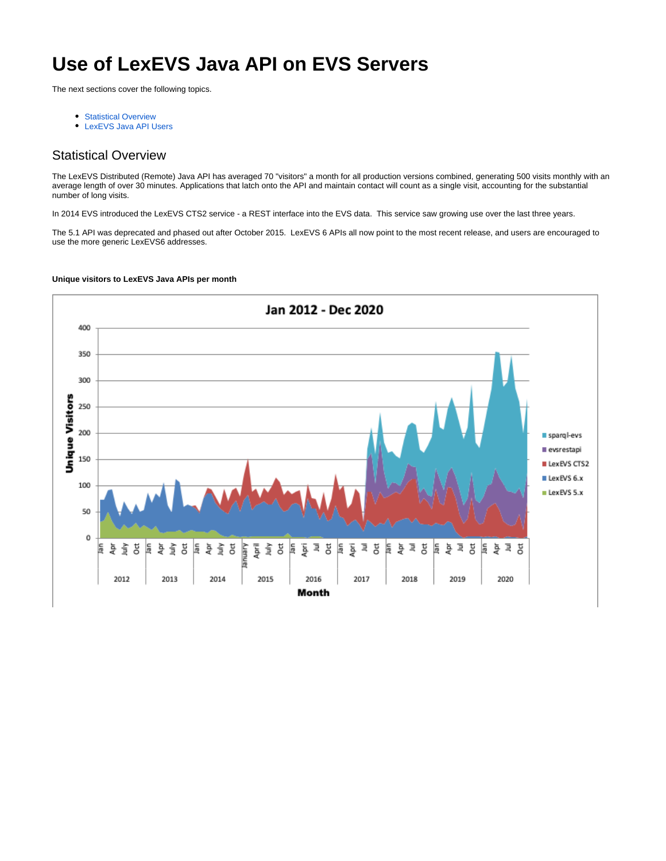# **Use of LexEVS Java API on EVS Servers**

The next sections cover the following topics.

- **[Statistical Overview](#page-0-0)**
- [LexEVS Java API Users](#page-2-0)

## <span id="page-0-0"></span>Statistical Overview

The LexEVS Distributed (Remote) Java API has averaged 70 "visitors" a month for all production versions combined, generating 500 visits monthly with an average length of over 30 minutes. Applications that latch onto the API and maintain contact will count as a single visit, accounting for the substantial number of long visits.

In 2014 EVS introduced the LexEVS CTS2 service - a REST interface into the EVS data. This service saw growing use over the last three years.

The 5.1 API was deprecated and phased out after October 2015. LexEVS 6 APIs all now point to the most recent release, and users are encouraged to use the more generic LexEVS6 addresses.



### **Unique visitors to LexEVS Java APIs per month**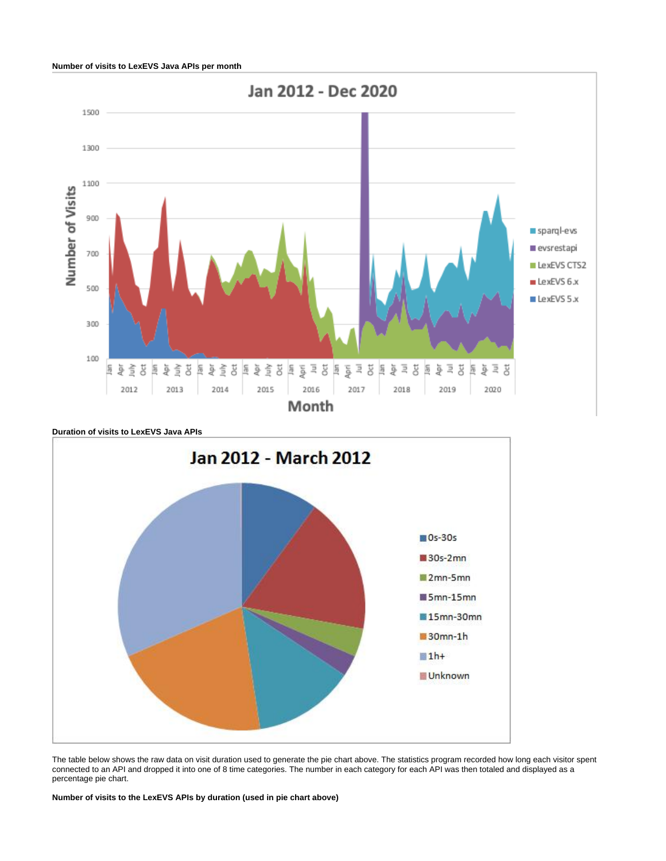

**Duration of visits to LexEVS Java APIs**



The table below shows the raw data on visit duration used to generate the pie chart above. The statistics program recorded how long each visitor spent connected to an API and dropped it into one of 8 time categories. The number in each category for each API was then totaled and displayed as a percentage pie chart.

**Number of visits to the LexEVS APIs by duration (used in pie chart above)**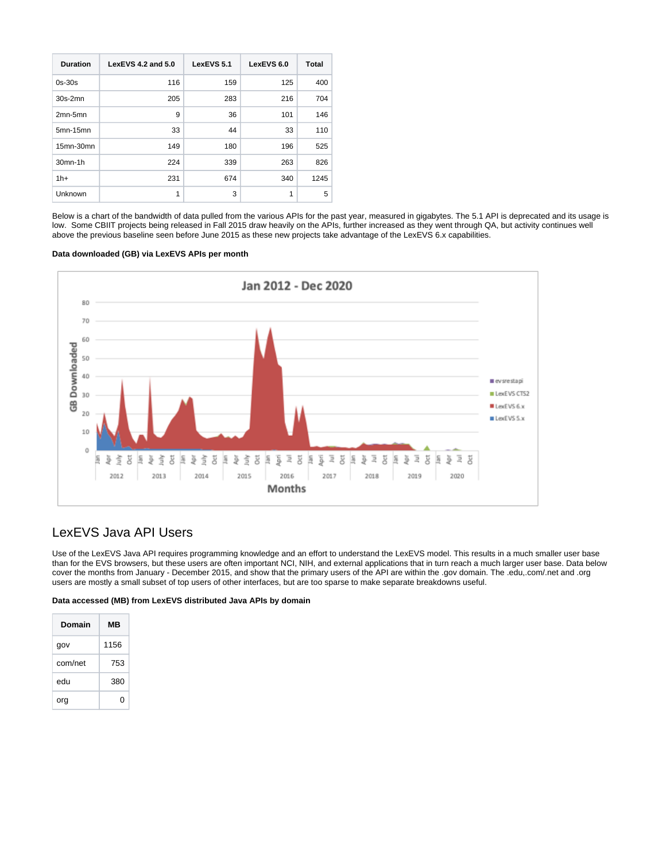| <b>Duration</b> | LexEVS 4.2 and 5.0 | LexEVS 5.1 | LexEVS 6.0 | Total |
|-----------------|--------------------|------------|------------|-------|
| $0s-30s$        | 116                | 159        | 125        | 400   |
| $30s-2mn$       | 205                | 283        | 216        | 704   |
| $2mn-5mn$       | 9                  | 36         | 101        | 146   |
| 5mn-15mn        | 33                 | 44         | 33         | 110   |
| 15mn-30mn       | 149                | 180        | 196        | 525   |
| 30mn-1h         | 224                | 339        | 263        | 826   |
| $1h+$           | 231                | 674        | 340        | 1245  |
| Unknown         | 1                  | 3          | 1          | 5     |

Below is a chart of the bandwidth of data pulled from the various APIs for the past year, measured in gigabytes. The 5.1 API is deprecated and its usage is low. Some CBIIT projects being released in Fall 2015 draw heavily on the APIs, further increased as they went through QA, but activity continues well above the previous baseline seen before June 2015 as these new projects take advantage of the LexEVS 6.x capabilities.

## **Data downloaded (GB) via LexEVS APIs per month**



# <span id="page-2-0"></span>LexEVS Java API Users

Use of the LexEVS Java API requires programming knowledge and an effort to understand the LexEVS model. This results in a much smaller user base than for the EVS browsers, but these users are often important NCI, NIH, and external applications that in turn reach a much larger user base. Data below cover the months from January - December 2015, and show that the primary users of the API are within the .gov domain. The .edu,.com/.net and .org users are mostly a small subset of top users of other interfaces, but are too sparse to make separate breakdowns useful.

#### **Data accessed (MB) from LexEVS distributed Java APIs by domain**

| Domain  | MВ   |  |
|---------|------|--|
| gov     | 1156 |  |
| com/net | 753  |  |
| edu     | 380  |  |
| org     | O    |  |